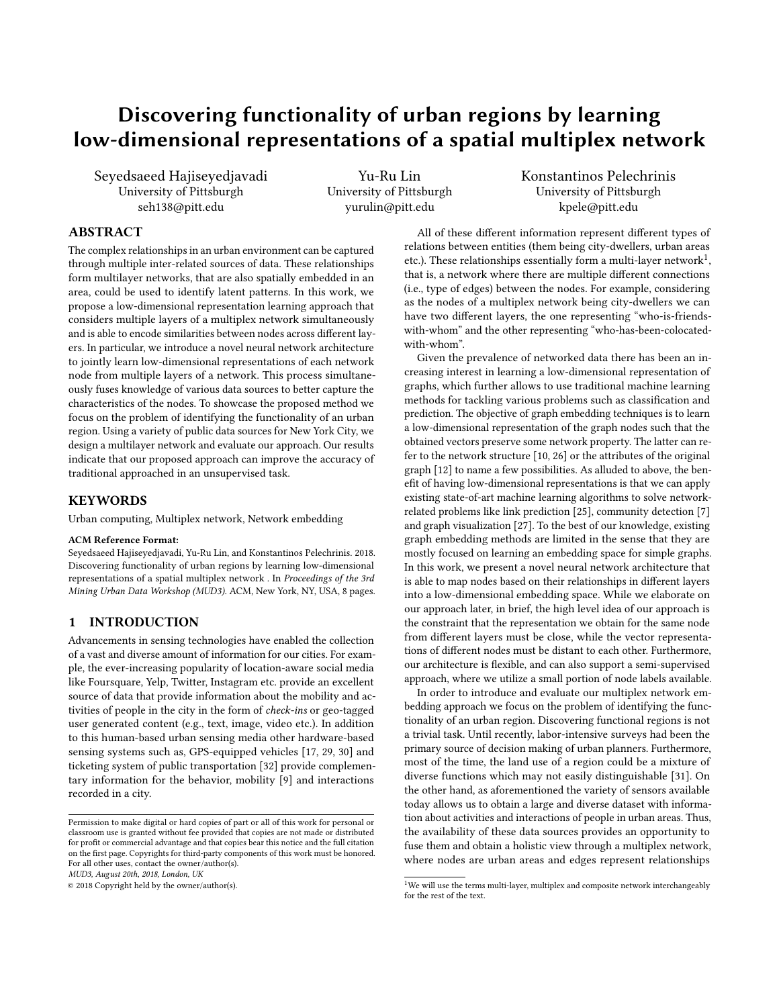# Discovering functionality of urban regions by learning low-dimensional representations of a spatial multiplex network

Seyedsaeed Hajiseyedjavadi University of Pittsburgh seh138@pitt.edu

Yu-Ru Lin University of Pittsburgh yurulin@pitt.edu

Konstantinos Pelechrinis University of Pittsburgh kpele@pitt.edu

# ABSTRACT

The complex relationships in an urban environment can be captured through multiple inter-related sources of data. These relationships form multilayer networks, that are also spatially embedded in an area, could be used to identify latent patterns. In this work, we propose a low-dimensional representation learning approach that considers multiple layers of a multiplex network simultaneously and is able to encode similarities between nodes across diferent layers. In particular, we introduce a novel neural network architecture to jointly learn low-dimensional representations of each network node from multiple layers of a network. This process simultaneously fuses knowledge of various data sources to better capture the characteristics of the nodes. To showcase the proposed method we focus on the problem of identifying the functionality of an urban region. Using a variety of public data sources for New York City, we design a multilayer network and evaluate our approach. Our results indicate that our proposed approach can improve the accuracy of traditional approached in an unsupervised task.

#### **KEYWORDS**

Urban computing, Multiplex network, Network embedding

# ACM Reference Format:

Seyedsaeed Hajiseyedjavadi, Yu-Ru Lin, and Konstantinos Pelechrinis. 2018. Discovering functionality of urban regions by learning low-dimensional representations of a spatial multiplex network . In Proceedings of the 3rd Mining Urban Data Workshop (MUD3). ACM, New York, NY, USA, [8](#page-7-0) pages.

# 1 INTRODUCTION

Advancements in sensing technologies have enabled the collection of a vast and diverse amount of information for our cities. For example, the ever-increasing popularity of location-aware social media like Foursquare, Yelp, Twitter, Instagram etc. provide an excellent source of data that provide information about the mobility and activities of people in the city in the form of check-ins or geo-tagged user generated content (e.g., text, image, video etc.). In addition to this human-based urban sensing media other hardware-based sensing systems such as, GPS-equipped vehicles [\[17,](#page-7-1) [29,](#page-7-2) [30\]](#page-7-3) and ticketing system of public transportation [\[32\]](#page-7-4) provide complementary information for the behavior, mobility [\[9\]](#page-7-5) and interactions recorded in a city.

MUD3, August 20th, 2018, London, UK

© 2018 Copyright held by the owner/author(s).

All of these diferent information represent diferent types of relations between entities (them being city-dwellers, urban areas etc.). These relationships essentially form a multi-layer network<sup>[1](#page-0-0)</sup>, that is, a network where there are multiple diferent connections (i.e., type of edges) between the nodes. For example, considering as the nodes of a multiplex network being city-dwellers we can have two diferent layers, the one representing "who-is-friendswith-whom" and the other representing "who-has-been-colocatedwith-whom".

Given the prevalence of networked data there has been an increasing interest in learning a low-dimensional representation of graphs, which further allows to use traditional machine learning methods for tackling various problems such as classifcation and prediction. The objective of graph embedding techniques is to learn a low-dimensional representation of the graph nodes such that the obtained vectors preserve some network property. The latter can refer to the network structure [\[10,](#page-7-6) [26\]](#page-7-7) or the attributes of the original graph [\[12\]](#page-7-8) to name a few possibilities. As alluded to above, the beneft of having low-dimensional representations is that we can apply existing state-of-art machine learning algorithms to solve networkrelated problems like link prediction [\[25\]](#page-7-9), community detection [\[7\]](#page-7-10) and graph visualization [\[27\]](#page-7-11). To the best of our knowledge, existing graph embedding methods are limited in the sense that they are mostly focused on learning an embedding space for simple graphs. In this work, we present a novel neural network architecture that is able to map nodes based on their relationships in diferent layers into a low-dimensional embedding space. While we elaborate on our approach later, in brief, the high level idea of our approach is the constraint that the representation we obtain for the same node from diferent layers must be close, while the vector representations of diferent nodes must be distant to each other. Furthermore, our architecture is fexible, and can also support a semi-supervised approach, where we utilize a small portion of node labels available.

In order to introduce and evaluate our multiplex network embedding approach we focus on the problem of identifying the functionality of an urban region. Discovering functional regions is not a trivial task. Until recently, labor-intensive surveys had been the primary source of decision making of urban planners. Furthermore, most of the time, the land use of a region could be a mixture of diverse functions which may not easily distinguishable [\[31\]](#page-7-12). On the other hand, as aforementioned the variety of sensors available today allows us to obtain a large and diverse dataset with information about activities and interactions of people in urban areas. Thus, the availability of these data sources provides an opportunity to fuse them and obtain a holistic view through a multiplex network, where nodes are urban areas and edges represent relationships

Permission to make digital or hard copies of part or all of this work for personal or classroom use is granted without fee provided that copies are not made or distributed for proft or commercial advantage and that copies bear this notice and the full citation on the frst page. Copyrights for third-party components of this work must be honored. For all other uses, contact the owner/author(s).

<span id="page-0-0"></span> $^{\rm 1}{\rm We}$  will use the terms multi-layer, multiplex and composite network interchangeably for the rest of the text.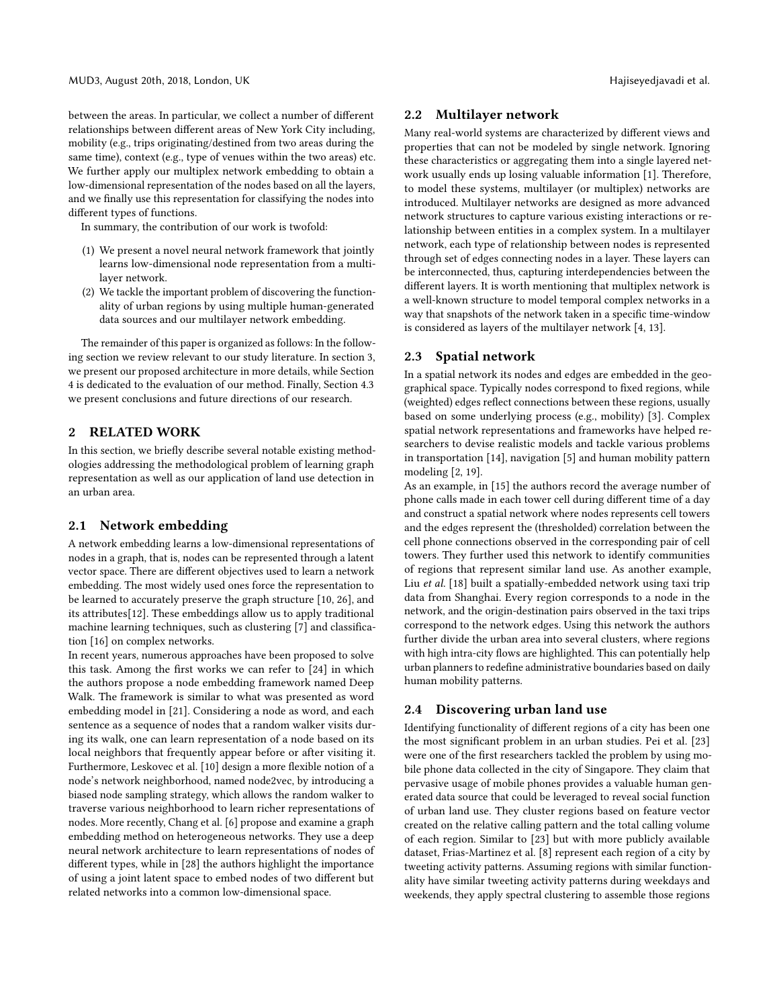between the areas. In particular, we collect a number of diferent relationships between diferent areas of New York City including, mobility (e.g., trips originating/destined from two areas during the same time), context (e.g., type of venues within the two areas) etc. We further apply our multiplex network embedding to obtain a low-dimensional representation of the nodes based on all the layers, and we fnally use this representation for classifying the nodes into diferent types of functions.

In summary, the contribution of our work is twofold:

- (1) We present a novel neural network framework that jointly learns low-dimensional node representation from a multilayer network.
- (2) We tackle the important problem of discovering the functionality of urban regions by using multiple human-generated data sources and our multilayer network embedding.

The remainder of this paper is organized as follows: In the following section we review relevant to our study literature. In section [3,](#page-2-0) we present our proposed architecture in more details, while Section [4](#page-4-0) is dedicated to the evaluation of our method. Finally, Section [4.3](#page-5-0) we present conclusions and future directions of our research.

# 2 RELATED WORK

In this section, we briefy describe several notable existing methodologies addressing the methodological problem of learning graph representation as well as our application of land use detection in an urban area.

#### 2.1 Network embedding

A network embedding learns a low-dimensional representations of nodes in a graph, that is, nodes can be represented through a latent vector space. There are diferent objectives used to learn a network embedding. The most widely used ones force the representation to be learned to accurately preserve the graph structure [\[10,](#page-7-6) [26\]](#page-7-7), and its attributes[\[12\]](#page-7-8). These embeddings allow us to apply traditional machine learning techniques, such as clustering [\[7\]](#page-7-10) and classifcation [\[16\]](#page-7-13) on complex networks.

In recent years, numerous approaches have been proposed to solve this task. Among the frst works we can refer to [\[24\]](#page-7-14) in which the authors propose a node embedding framework named Deep Walk. The framework is similar to what was presented as word embedding model in [\[21\]](#page-7-15). Considering a node as word, and each sentence as a sequence of nodes that a random walker visits during its walk, one can learn representation of a node based on its local neighbors that frequently appear before or after visiting it. Furthermore, Leskovec et al. [\[10\]](#page-7-6) design a more fexible notion of a node's network neighborhood, named node2vec, by introducing a biased node sampling strategy, which allows the random walker to traverse various neighborhood to learn richer representations of nodes. More recently, Chang et al. [\[6\]](#page-7-16) propose and examine a graph embedding method on heterogeneous networks. They use a deep neural network architecture to learn representations of nodes of diferent types, while in [\[28\]](#page-7-17) the authors highlight the importance of using a joint latent space to embed nodes of two diferent but related networks into a common low-dimensional space.

#### 2.2 Multilayer network

Many real-world systems are characterized by diferent views and properties that can not be modeled by single network. Ignoring these characteristics or aggregating them into a single layered network usually ends up losing valuable information [\[1\]](#page-6-0). Therefore, to model these systems, multilayer (or multiplex) networks are introduced. Multilayer networks are designed as more advanced network structures to capture various existing interactions or relationship between entities in a complex system. In a multilayer network, each type of relationship between nodes is represented through set of edges connecting nodes in a layer. These layers can be interconnected, thus, capturing interdependencies between the diferent layers. It is worth mentioning that multiplex network is a well-known structure to model temporal complex networks in a way that snapshots of the network taken in a specifc time-window is considered as layers of the multilayer network [\[4,](#page-6-1) [13\]](#page-7-18).

### 2.3 Spatial network

In a spatial network its nodes and edges are embedded in the geographical space. Typically nodes correspond to fxed regions, while (weighted) edges refect connections between these regions, usually based on some underlying process (e.g., mobility) [\[3\]](#page-6-2). Complex spatial network representations and frameworks have helped researchers to devise realistic models and tackle various problems in transportation [\[14\]](#page-7-19), navigation [\[5\]](#page-6-3) and human mobility pattern modeling [\[2,](#page-6-4) [19\]](#page-7-20).

As an example, in [\[15\]](#page-7-21) the authors record the average number of phone calls made in each tower cell during diferent time of a day and construct a spatial network where nodes represents cell towers and the edges represent the (thresholded) correlation between the cell phone connections observed in the corresponding pair of cell towers. They further used this network to identify communities of regions that represent similar land use. As another example, Liu et al. [\[18\]](#page-7-22) built a spatially-embedded network using taxi trip data from Shanghai. Every region corresponds to a node in the network, and the origin-destination pairs observed in the taxi trips correspond to the network edges. Using this network the authors further divide the urban area into several clusters, where regions with high intra-city flows are highlighted. This can potentially help urban planners to redefne administrative boundaries based on daily human mobility patterns.

# 2.4 Discovering urban land use

Identifying functionality of diferent regions of a city has been one the most signifcant problem in an urban studies. Pei et al. [\[23\]](#page-7-23) were one of the frst researchers tackled the problem by using mobile phone data collected in the city of Singapore. They claim that pervasive usage of mobile phones provides a valuable human generated data source that could be leveraged to reveal social function of urban land use. They cluster regions based on feature vector created on the relative calling pattern and the total calling volume of each region. Similar to [\[23\]](#page-7-23) but with more publicly available dataset, Frias-Martinez et al. [\[8\]](#page-7-24) represent each region of a city by tweeting activity patterns. Assuming regions with similar functionality have similar tweeting activity patterns during weekdays and weekends, they apply spectral clustering to assemble those regions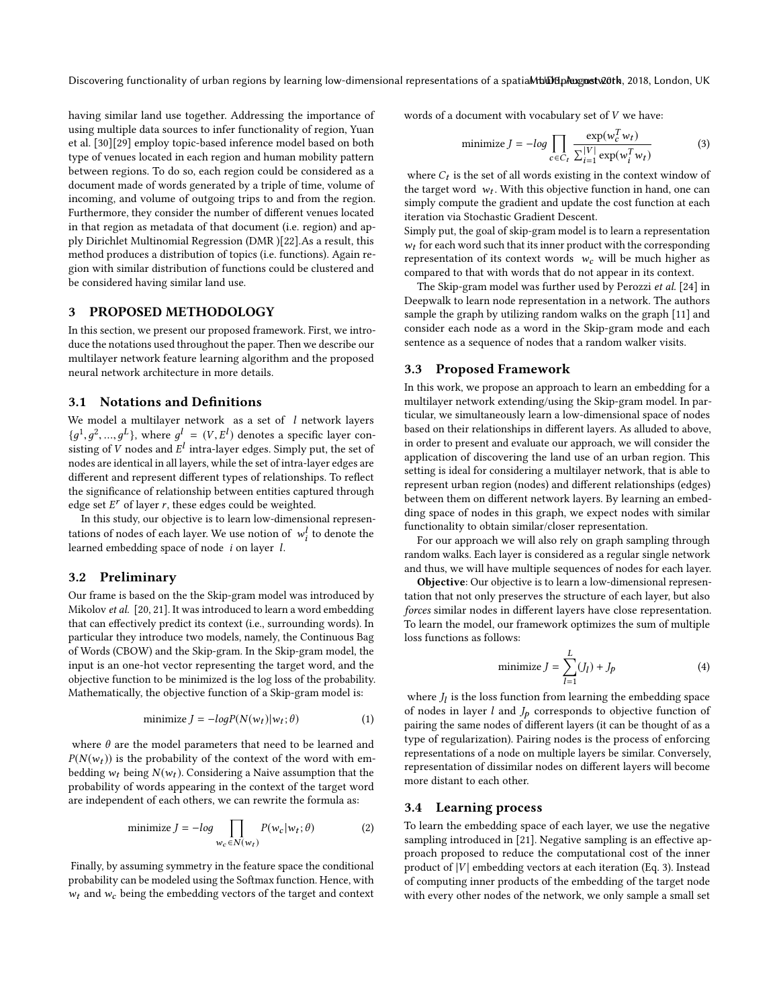Discovering functionality of urban regions by learning low-dimensional representations of a spatiaMblot manust meth, 2018, London, UK

having similar land use together. Addressing the importance of using multiple data sources to infer functionality of region, Yuan et al. [\[30\]](#page-7-3)[\[29\]](#page-7-2) employ topic-based inference model based on both type of venues located in each region and human mobility pattern between regions. To do so, each region could be considered as a document made of words generated by a triple of time, volume of incoming, and volume of outgoing trips to and from the region. Furthermore, they consider the number of diferent venues located in that region as metadata of that document (i.e. region) and apply Dirichlet Multinomial Regression (DMR )[\[22\]](#page-7-25).As a result, this method produces a distribution of topics (i.e. functions). Again region with similar distribution of functions could be clustered and be considered having similar land use.

#### <span id="page-2-0"></span>3 PROPOSED METHODOLOGY

In this section, we present our proposed framework. First, we introduce the notations used throughout the paper. Then we describe our multilayer network feature learning algorithm and the proposed neural network architecture in more details.

#### 3.1 Notations and Defnitions

We model a multilayer network as a set of  $l$  network layers  $\{g^1, g^2, ..., g^L\}$ , where  $g^l = (V, E^l)$  denotes a specific layer con-<br>eighting of V nodes and  $F^l$  intro layer edges. Simply put, the set of  $\lim_{x \to a} g(x)$  intra-layer edges. Simply put, the set of nodes are identical in all layers while the set of intra-layer edges are nodes are identical in all layers, while the set of intra-layer edges are diferent and represent diferent types of relationships. To refect the signifcance of relationship between entities captured through edge set  $E^r$  of layer r, these edges could be weighted.<br>In this study, our objective is to learn low-dimension

In this study, our objective is to learn low-dimensional representations of nodes of each layer. We use notion of  $w_i^l$  to denote the learned embedding space of node *i* on layer *l* learned embedding space of node i on layer l.

#### 3.2 Preliminary

Our frame is based on the the Skip-gram model was introduced by Mikolov et al. [\[20,](#page-7-26) [21\]](#page-7-15). It was introduced to learn a word embedding that can efectively predict its context (i.e., surrounding words). In particular they introduce two models, namely, the Continuous Bag of Words (CBOW) and the Skip-gram. In the Skip-gram model, the input is an one-hot vector representing the target word, and the objective function to be minimized is the log loss of the probability. Mathematically, the objective function of a Skip-gram model is:

$$
\text{minimize } J = -logP(N(w_t)|w_t; \theta) \tag{1}
$$

where  $\theta$  are the model parameters that need to be learned and  $P(N(w_t))$  is the probability of the context of the word with embedding  $w_t$  being  $N(w_t)$ . Considering a Naive assumption that the probability of words appearing in the context of the target word are independent of each others, we can rewrite the formula as:

minimize 
$$
J = -\log \prod_{w_c \in N(w_t)} P(w_c | w_t; \theta)
$$
 (2)

Finally, by assuming symmetry in the feature space the conditional probability can be modeled using the Softmax function. Hence, with  $w_t$  and  $w_c$  being the embedding vectors of the target and context words of a document with vocabulary set of V we have:

minimize 
$$
J = -log \prod_{c \in C_t} \frac{\exp(w_c^T w_t)}{\sum_{i=1}^{|V|} \exp(w_i^T w_t)}
$$
 (3)

where  $C_t$  is the set of all words existing in the context window of the target word,  $w_t$ . With this objective function in hand, one can the target word  $w_t$ . With this objective function in hand, one can<br>simply compute the gradient and undate the cost function at each simply compute the gradient and update the cost function at each iteration via Stochastic Gradient Descent.

Simply put, the goal of skip-gram model is to learn a representation  $w_t$  for each word such that its inner product with the corresponding representation of its context words  $w_c$  will be much higher as compared to that with words that do not appear in its context.

The Skip-gram model was further used by Perozzi et al. [\[24\]](#page-7-14) in Deepwalk to learn node representation in a network. The authors sample the graph by utilizing random walks on the graph [\[11\]](#page-7-27) and consider each node as a word in the Skip-gram mode and each sentence as a sequence of nodes that a random walker visits.

# 3.3 Proposed Framework

In this work, we propose an approach to learn an embedding for a multilayer network extending/using the Skip-gram model. In particular, we simultaneously learn a low-dimensional space of nodes based on their relationships in diferent layers. As alluded to above, in order to present and evaluate our approach, we will consider the application of discovering the land use of an urban region. This setting is ideal for considering a multilayer network, that is able to represent urban region (nodes) and diferent relationships (edges) between them on diferent network layers. By learning an embedding space of nodes in this graph, we expect nodes with similar functionality to obtain similar/closer representation.

For our approach we will also rely on graph sampling through random walks. Each layer is considered as a regular single network and thus, we will have multiple sequences of nodes for each layer.

Objective: Our objective is to learn a low-dimensional representation that not only preserves the structure of each layer, but also forces similar nodes in diferent layers have close representation. To learn the model, our framework optimizes the sum of multiple loss functions as follows:

minimize 
$$
J = \sum_{l=1}^{L} (J_l) + J_p
$$
 (4)

where  $J_l$  is the loss function from learning the embedding space<br>of nodes in layer  $l$  and  $L$  corresponds to objective function of of nodes in layer  $l$  and  $J_p$  corresponds to objective function of pairing the same nodes of diferent layers (it can be thought of as a type of regularization). Pairing nodes is the process of enforcing representations of a node on multiple layers be similar. Conversely, representation of dissimilar nodes on diferent layers will become more distant to each other.

#### 3.4 Learning process

To learn the embedding space of each layer, we use the negative sampling introduced in [\[21\]](#page-7-15). Negative sampling is an effective approach proposed to reduce the computational cost of the inner product of  $|V|$  embedding vectors at each iteration (Eq. 3). Instead of computing inner products of the embedding of the target node with every other nodes of the network, we only sample a small set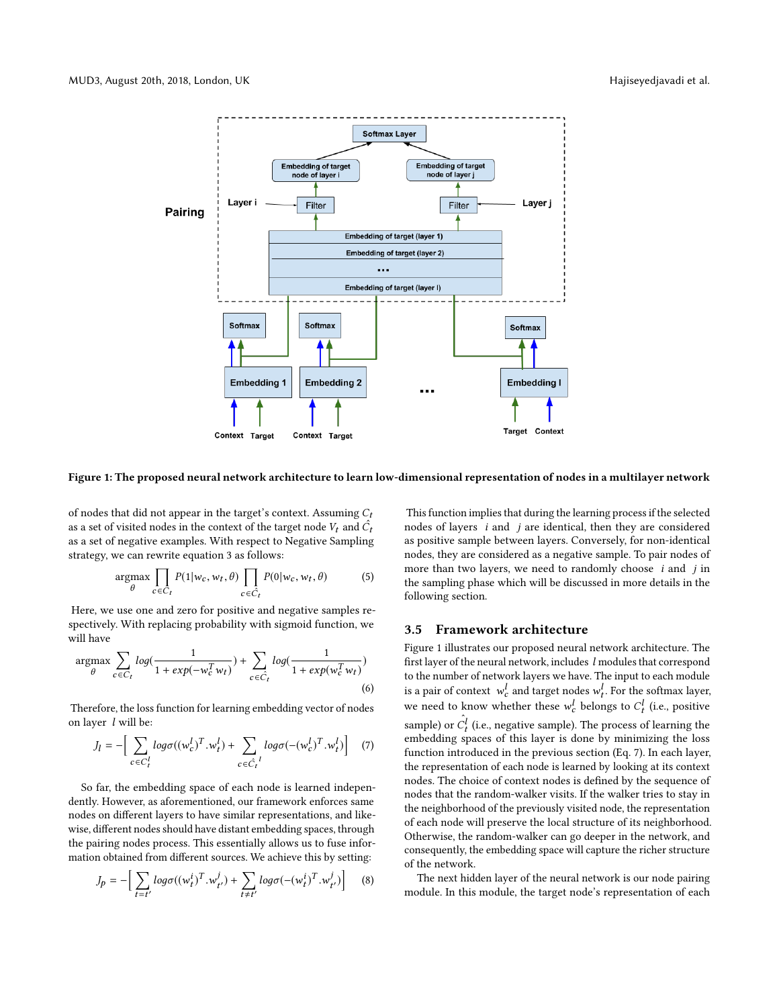

#### Figure 1: The proposed neural network architecture to learn low-dimensional representation of nodes in a multilayer network

of nodes that did not appear in the target's context. Assuming  $C_t$ as a set of visited nodes in the context of the target node  $V_t$  and  $\hat{C}_t$ as a set of negative examples. With respect to Negative Sampling strategy, we can rewrite equation 3 as follows:

$$
\underset{\theta}{\operatorname{argmax}} \prod_{c \in C_t} P(1|w_c, w_t, \theta) \prod_{c \in \hat{C}_t} P(0|w_c, w_t, \theta) \tag{5}
$$

Here, we use one and zero for positive and negative samples respectively. With replacing probability with sigmoid function, we will have

$$
\underset{\theta}{\operatorname{argmax}} \sum_{c \in C_t} log(\frac{1}{1 + exp(-w_c^T w_t)}) + \sum_{c \in \hat{C}_t} log(\frac{1}{1 + exp(w_c^T w_t)})
$$
\n
$$
\tag{6}
$$

Therefore, the loss function for learning embedding vector of nodes on layer l will be:

$$
J_l = -\Big[\sum_{c \in C_l^l} log \sigma((w_c^l)^T . w_t^l) + \sum_{c \in \hat{C_l}^l} log \sigma(-(w_c^l)^T . w_t^l)\Big] \tag{7}
$$

So far, the embedding space of each node is learned independently. However, as aforementioned, our framework enforces same nodes on diferent layers to have similar representations, and likewise, diferent nodes should have distant embedding spaces, through the pairing nodes process. This essentially allows us to fuse information obtained from diferent sources. We achieve this by setting:

$$
J_p = -\Big[\sum_{t=t'} log \sigma((w_t^i)^T . w_{t'}^j) + \sum_{t \neq t'} log \sigma(-(w_t^i)^T . w_{t'}^j)\Big] \tag{8}
$$

This function implies that during the learning process if the selected nodes of layers i and j are identical, then they are considered as positive sample between layers. Conversely, for non-identical nodes, they are considered as a negative sample. To pair nodes of more than two layers, we need to randomly choose  $i$  and  $j$  in the sampling phase which will be discussed in more details in the following section.

## 3.5 Framework architecture

Figure 1 illustrates our proposed neural network architecture. The frst layer of the neural network, includes l modules that correspond to the number of network layers we have. The input to each module is a pair of context  $w_c^t$  and target nodes  $w_t^t$ . For the softmax layer, we need to know whether these  $w_c^l$  belongs to  $C_t^l$  (i.e., positive sample) or  $\hat{C}_t^l$  (i.e., negative sample). The process of learning the  $\sum_{t=1}^{\infty}$  or  $\sum_{t=1}^{\infty}$  and  $\sum_{t=1}^{\infty}$  can be  $\sum_{t=1}^{\infty}$  can be  $\sum_{t=1}^{\infty}$  can be  $\sum_{t=1}^{\infty}$  can be  $\sum_{t=1}^{\infty}$  can be  $\sum_{t=1}^{\infty}$  can be  $\sum_{t=1}^{\infty}$  can be  $\sum_{t=1}^{\infty}$  can be  $\sum_{t=1}$ function introduced in the previous section (Eq. 7). In each layer, the representation of each node is learned by looking at its context nodes. The choice of context nodes is defned by the sequence of nodes that the random-walker visits. If the walker tries to stay in the neighborhood of the previously visited node, the representation of each node will preserve the local structure of its neighborhood. Otherwise, the random-walker can go deeper in the network, and consequently, the embedding space will capture the richer structure of the network.

The next hidden layer of the neural network is our node pairing module. In this module, the target node's representation of each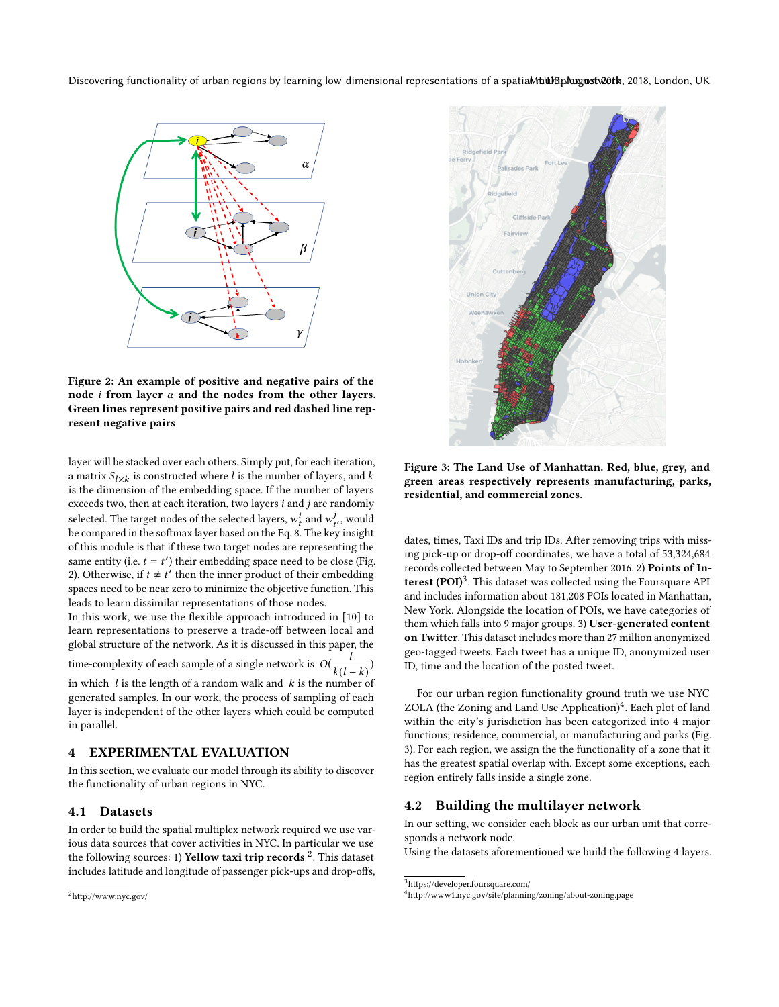Discovering functionality of urban regions by learning low-dimensional representations of a spatiaMblot manust meth, 2018, London, UK



Figure 2: An example of positive and negative pairs of the node *i* from layer  $\alpha$  and the nodes from the other layers. Green lines represent positive pairs and red dashed line represent negative pairs

layer will be stacked over each others. Simply put, for each iteration, a matrix  $S_{l \times k}$  is constructed where *l* is the number of layers, and *k* is the dimension of the embedding space. If the number of layers is the dimension of the embedding space. If the number of layers exceeds two, then at each iteration, two layers  $i$  and  $j$  are randomly selected. The target nodes of the selected layers,  $w_t^i$  and  $w_{t'}^j$ , would<br>be compared in the softmax layer based on the Eq. 8. The key insight be compared in the softmax layer based on the Eq. 8. The key insight of this module is that if these two target nodes are representing the same entity (i.e.  $t = t'$ ) their embedding space need to be close (Fig. 2). Otherwise if  $t \neq t'$  then the inner product of their embedding. 2). Otherwise, if  $t \neq t'$  then the inner product of their embedding spaces need to be near zero to minimize the objective function. This spaces need to be near zero to minimize the objective function. This leads to learn dissimilar representations of those nodes.

In this work, we use the fexible approach introduced in [\[10\]](#page-7-6) to learn representations to preserve a trade-off between local and global structure of the network. As it is discussed in this paper, the time-complexity of each sample of a single network is  $O(\frac{1}{k(l-k)})$ <br>in which *l* is the length of a random walk and *k* is the number of in which  $l$  is the length of a random walk and  $k$  is the number of

generated samples. In our work, the process of sampling of each layer is independent of the other layers which could be computed in parallel.

# <span id="page-4-0"></span>4 EXPERIMENTAL EVALUATION

In this section, we evaluate our model through its ability to discover the functionality of urban regions in NYC.

### 4.1 Datasets

In order to build the spatial multiplex network required we use various data sources that cover activities in NYC. In particular we use the following sources: 1) **Yellow taxi trip records**  $^2$  $^2$ . This dataset includes latitude and longitude of passenger pick-ups and drop-ofs,

<span id="page-4-1"></span>



Figure 3: The Land Use of Manhattan. Red, blue, grey, and green areas respectively represents manufacturing, parks, residential, and commercial zones.

dates, times, Taxi IDs and trip IDs. After removing trips with missing pick-up or drop-off coordinates, we have a total of 53,324,684 records collected between May to September 2016. 2) Points of In-terest (POI)<sup>[3](#page-4-2)</sup>. This dataset was collected using the Foursquare API and includes information about 181,208 POIs located in Manhattan, New York. Alongside the location of POIs, we have categories of them which falls into 9 major groups. 3) User-generated content on Twitter. This dataset includes more than 27 million anonymized geo-tagged tweets. Each tweet has a unique ID, anonymized user ID, time and the location of the posted tweet.

For our urban region functionality ground truth we use NYC ZOLA (the Zoning and Land Use Application)<sup>[4](#page-4-3)</sup>. Each plot of land within the city's jurisdiction has been categorized into 4 major functions; residence, commercial, or manufacturing and parks (Fig. 3). For each region, we assign the the functionality of a zone that it has the greatest spatial overlap with. Except some exceptions, each region entirely falls inside a single zone.

#### 4.2 Building the multilayer network

In our setting, we consider each block as our urban unit that corresponds a network node.

Using the datasets aforementioned we build the following 4 layers.

<span id="page-4-2"></span> $^3$ https://developer.foursquare.com/

<span id="page-4-3"></span><sup>4</sup>http://www1.nyc.gov/site/planning/zoning/about-zoning.page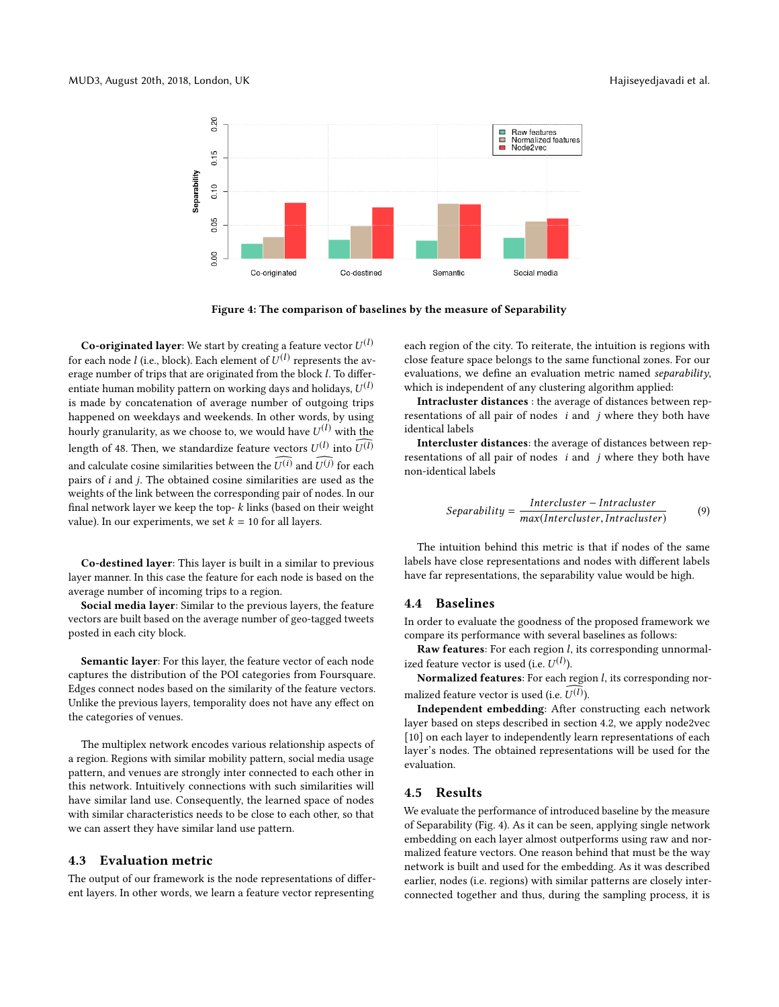

Figure 4: The comparison of baselines by the measure of Separability

**Co-originated layer**: We start by creating a feature vector  $U^{(l)}$ <br>caseb node  $l$  (i.e., block). Each element of  $U^{(l)}$  conceants the out for each node *l* (i.e., block). Each element of  $U^{(l)}$  represents the av-<br>erage number of trips that are originated from the block *l*. To differerage number of trips that are originated from the block l. To diferentiate human mobility pattern on working days and holidays,  $U^{(l)}$ <br>is made by concatenation of average number of outgoing trips is made by concatenation of average number of outgoing trips happened on weekdays and weekends. In other words, by using hourly granularity, as we choose to, we would have  $U^{(l)}$  with the length of 48. Then, we standardize feature vectors  $U^{(l)}$  into  $U^{(l)}$ and calculate cosine similarities between the  $U^{(i)}$  and  $U^{(j)}$  for each nairs of *i* and *i*. The obtained cosine similarities are used as the pairs of i and j. The obtained cosine similarities are used as the weights of the link between the corresponding pair of nodes. In our final network layer we keep the top- $k$  links (based on their weight value). In our experiments, we set  $k = 10$  for all layers.

Co-destined layer: This layer is built in a similar to previous layer manner. In this case the feature for each node is based on the average number of incoming trips to a region.

Social media layer: Similar to the previous layers, the feature vectors are built based on the average number of geo-tagged tweets posted in each city block.

Semantic layer: For this layer, the feature vector of each node captures the distribution of the POI categories from Foursquare. Edges connect nodes based on the similarity of the feature vectors. Unlike the previous layers, temporality does not have any efect on the categories of venues.

The multiplex network encodes various relationship aspects of a region. Regions with similar mobility pattern, social media usage pattern, and venues are strongly inter connected to each other in this network. Intuitively connections with such similarities will have similar land use. Consequently, the learned space of nodes with similar characteristics needs to be close to each other, so that we can assert they have similar land use pattern.

# <span id="page-5-0"></span>4.3 Evaluation metric

The output of our framework is the node representations of diferent layers. In other words, we learn a feature vector representing

each region of the city. To reiterate, the intuition is regions with close feature space belongs to the same functional zones. For our evaluations, we defne an evaluation metric named separability, which is independent of any clustering algorithm applied:

Intracluster distances : the average of distances between representations of all pair of nodes i and j where they both have identical labels

Intercluster distances: the average of distances between representations of all pair of nodes  $i$  and  $j$  where they both have non-identical labels

$$
Separability = \frac{Intercluster - Intracluster}{max(Intercluster, Intracluster)} \tag{9}
$$

The intuition behind this metric is that if nodes of the same labels have close representations and nodes with diferent labels have far representations, the separability value would be high.

#### 4.4 Baselines

In order to evaluate the goodness of the proposed framework we compare its performance with several baselines as follows:

Raw features: For each region *l*, its corresponding unnormalized feature vector is used (i.e.  $U^{(l)}$ ).<br>Normalized features: For each r

Normalized features: For each region *l*, its corresponding normalized feature vector is used (i.e.  $U^{(l)}$ ).<br> **Independent embedding:** After co

Independent embedding: After constructing each network layer based on steps described in section 4.2, we apply node2vec [\[10\]](#page-7-6) on each layer to independently learn representations of each layer's nodes. The obtained representations will be used for the evaluation.

#### 4.5 Results

We evaluate the performance of introduced baseline by the measure of Separability (Fig. 4). As it can be seen, applying single network embedding on each layer almost outperforms using raw and normalized feature vectors. One reason behind that must be the way network is built and used for the embedding. As it was described earlier, nodes (i.e. regions) with similar patterns are closely interconnected together and thus, during the sampling process, it is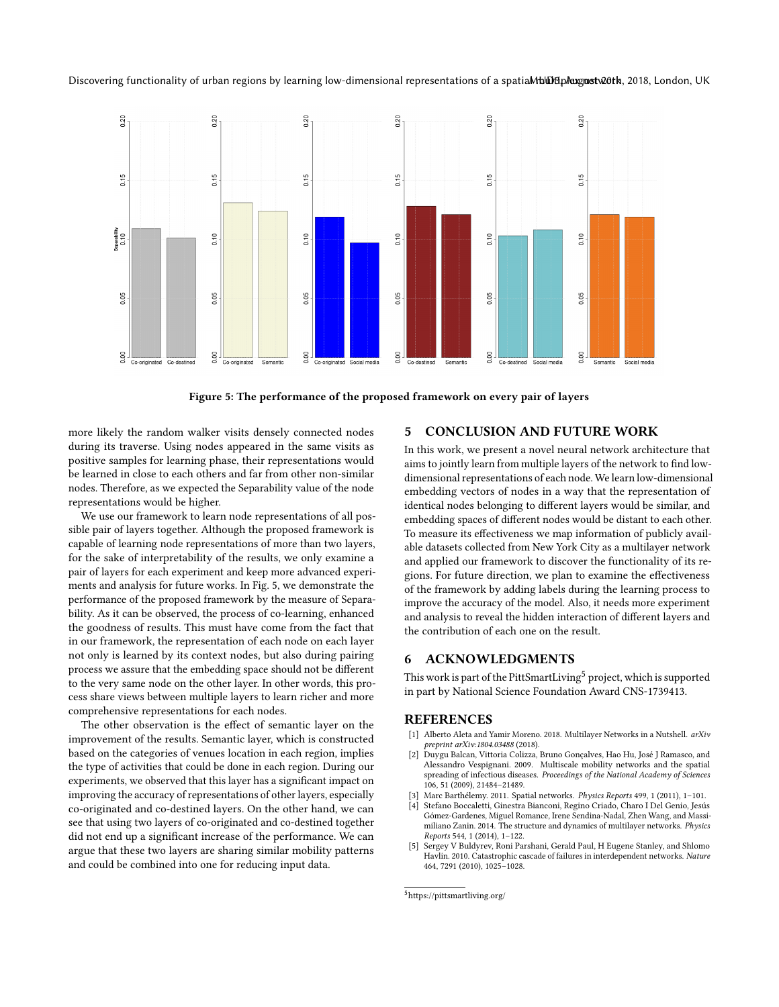

Figure 5: The performance of the proposed framework on every pair of layers

more likely the random walker visits densely connected nodes during its traverse. Using nodes appeared in the same visits as positive samples for learning phase, their representations would be learned in close to each others and far from other non-similar nodes. Therefore, as we expected the Separability value of the node representations would be higher.

We use our framework to learn node representations of all possible pair of layers together. Although the proposed framework is capable of learning node representations of more than two layers, for the sake of interpretability of the results, we only examine a pair of layers for each experiment and keep more advanced experiments and analysis for future works. In Fig. 5, we demonstrate the performance of the proposed framework by the measure of Separability. As it can be observed, the process of co-learning, enhanced the goodness of results. This must have come from the fact that in our framework, the representation of each node on each layer not only is learned by its context nodes, but also during pairing process we assure that the embedding space should not be diferent to the very same node on the other layer. In other words, this process share views between multiple layers to learn richer and more comprehensive representations for each nodes.

The other observation is the effect of semantic layer on the improvement of the results. Semantic layer, which is constructed based on the categories of venues location in each region, implies the type of activities that could be done in each region. During our experiments, we observed that this layer has a signifcant impact on improving the accuracy of representations of other layers, especially co-originated and co-destined layers. On the other hand, we can see that using two layers of co-originated and co-destined together did not end up a signifcant increase of the performance. We can argue that these two layers are sharing similar mobility patterns and could be combined into one for reducing input data.

#### 5 CONCLUSION AND FUTURE WORK

In this work, we present a novel neural network architecture that aims to jointly learn from multiple layers of the network to fnd lowdimensional representations of each node. We learn low-dimensional embedding vectors of nodes in a way that the representation of identical nodes belonging to diferent layers would be similar, and embedding spaces of diferent nodes would be distant to each other. To measure its efectiveness we map information of publicly available datasets collected from New York City as a multilayer network and applied our framework to discover the functionality of its regions. For future direction, we plan to examine the efectiveness of the framework by adding labels during the learning process to improve the accuracy of the model. Also, it needs more experiment and analysis to reveal the hidden interaction of diferent layers and the contribution of each one on the result.

## 6 ACKNOWLEDGMENTS

This work is part of the PittSmartLiving<sup>[5](#page-6-5)</sup> project, which is supported in part by National Science Foundation Award CNS-1739413.

#### REFERENCES

- <span id="page-6-0"></span>[1] Alberto Aleta and Yamir Moreno. 2018. Multilayer Networks in a Nutshell. arXiv preprint arXiv:1804.03488 (2018).
- <span id="page-6-4"></span>[2] Duygu Balcan, Vittoria Colizza, Bruno Gonçalves, Hao Hu, José J Ramasco, and Alessandro Vespignani. 2009. Multiscale mobility networks and the spatial spreading of infectious diseases. Proceedings of the National Academy of Sciences 106, 51 (2009), 21484–21489.
- <span id="page-6-2"></span>[3] Marc Barthélemy. 2011. Spatial networks. Physics Reports 499, 1 (2011), 1–101.
- <span id="page-6-1"></span>[4] Stefano Boccaletti, Ginestra Bianconi, Regino Criado, Charo I Del Genio, Jesús Gómez-Gardenes, Miguel Romance, Irene Sendina-Nadal, Zhen Wang, and Massimiliano Zanin. 2014. The structure and dynamics of multilayer networks. Physics Reports 544, 1 (2014), 1–122.
- <span id="page-6-3"></span>Sergey V Buldyrev, Roni Parshani, Gerald Paul, H Eugene Stanley, and Shlomo Havlin. 2010. Catastrophic cascade of failures in interdependent networks. Nature 464, 7291 (2010), 1025–1028.

<span id="page-6-5"></span> ${\rm^5}$ <https://pittsmartliving.org/>